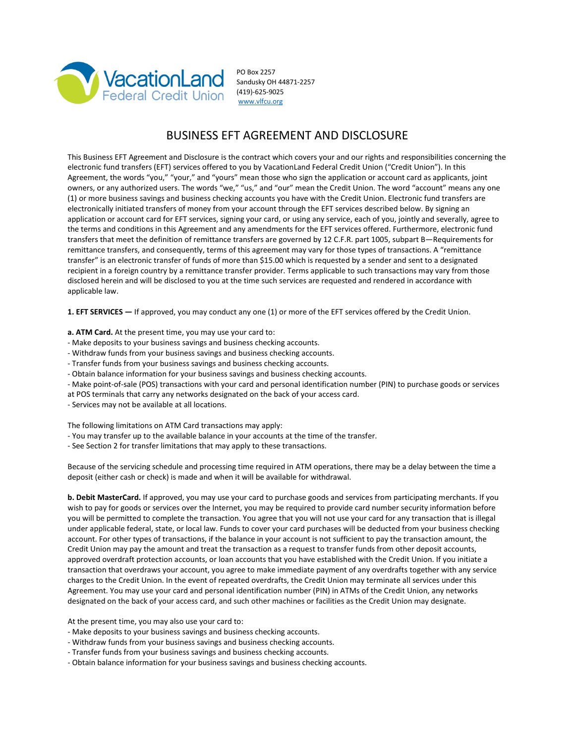

PO Box 2257 Sandusky OH 44871-2257 (419)-625-9025 [www.vlfcu.org](http://www.vlfcu.org/)

# BUSINESS EFT AGREEMENT AND DISCLOSURE

This Business EFT Agreement and Disclosure is the contract which covers your and our rights and responsibilities concerning the electronic fund transfers (EFT) services offered to you by VacationLand Federal Credit Union ("Credit Union"). In this Agreement, the words "you," "your," and "yours" mean those who sign the application or account card as applicants, joint owners, or any authorized users. The words "we," "us," and "our" mean the Credit Union. The word "account" means any one (1) or more business savings and business checking accounts you have with the Credit Union. Electronic fund transfers are electronically initiated transfers of money from your account through the EFT services described below. By signing an application or account card for EFT services, signing your card, or using any service, each of you, jointly and severally, agree to the terms and conditions in this Agreement and any amendments for the EFT services offered. Furthermore, electronic fund transfers that meet the definition of remittance transfers are governed by 12 C.F.R. part 1005, subpart B—Requirements for remittance transfers, and consequently, terms of this agreement may vary for those types of transactions. A "remittance transfer" is an electronic transfer of funds of more than \$15.00 which is requested by a sender and sent to a designated recipient in a foreign country by a remittance transfer provider. Terms applicable to such transactions may vary from those disclosed herein and will be disclosed to you at the time such services are requested and rendered in accordance with applicable law.

**1. EFT SERVICES —** If approved, you may conduct any one (1) or more of the EFT services offered by the Credit Union.

- **a. ATM Card.** At the present time, you may use your card to:
- Make deposits to your business savings and business checking accounts.
- Withdraw funds from your business savings and business checking accounts.
- Transfer funds from your business savings and business checking accounts.
- Obtain balance information for your business savings and business checking accounts.
- Make point-of-sale (POS) transactions with your card and personal identification number (PIN) to purchase goods or services
- at POS terminals that carry any networks designated on the back of your access card.
- Services may not be available at all locations.

The following limitations on ATM Card transactions may apply:

- You may transfer up to the available balance in your accounts at the time of the transfer.
- See Section 2 for transfer limitations that may apply to these transactions.

Because of the servicing schedule and processing time required in ATM operations, there may be a delay between the time a deposit (either cash or check) is made and when it will be available for withdrawal.

**b. Debit MasterCard.** If approved, you may use your card to purchase goods and services from participating merchants. If you wish to pay for goods or services over the Internet, you may be required to provide card number security information before you will be permitted to complete the transaction. You agree that you will not use your card for any transaction that is illegal under applicable federal, state, or local law. Funds to cover your card purchases will be deducted from your business checking account. For other types of transactions, if the balance in your account is not sufficient to pay the transaction amount, the Credit Union may pay the amount and treat the transaction as a request to transfer funds from other deposit accounts, approved overdraft protection accounts, or loan accounts that you have established with the Credit Union. If you initiate a transaction that overdraws your account, you agree to make immediate payment of any overdrafts together with any service charges to the Credit Union. In the event of repeated overdrafts, the Credit Union may terminate all services under this Agreement. You may use your card and personal identification number (PIN) in ATMs of the Credit Union, any networks designated on the back of your access card, and such other machines or facilities as the Credit Union may designate.

At the present time, you may also use your card to:

- Make deposits to your business savings and business checking accounts.
- Withdraw funds from your business savings and business checking accounts.
- Transfer funds from your business savings and business checking accounts.
- Obtain balance information for your business savings and business checking accounts.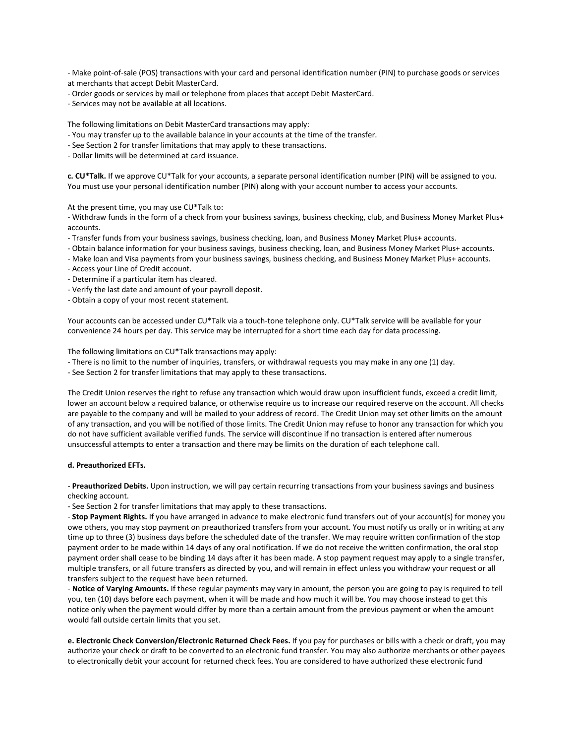- Make point-of-sale (POS) transactions with your card and personal identification number (PIN) to purchase goods or services at merchants that accept Debit MasterCard.

- Order goods or services by mail or telephone from places that accept Debit MasterCard.

- Services may not be available at all locations.

The following limitations on Debit MasterCard transactions may apply:

- You may transfer up to the available balance in your accounts at the time of the transfer.
- See Section 2 for transfer limitations that may apply to these transactions.

- Dollar limits will be determined at card issuance.

**c. CU\*Talk.** If we approve CU\*Talk for your accounts, a separate personal identification number (PIN) will be assigned to you. You must use your personal identification number (PIN) along with your account number to access your accounts.

At the present time, you may use CU\*Talk to:

- Withdraw funds in the form of a check from your business savings, business checking, club, and Business Money Market Plus+ accounts.

- Transfer funds from your business savings, business checking, loan, and Business Money Market Plus+ accounts.
- Obtain balance information for your business savings, business checking, loan, and Business Money Market Plus+ accounts.
- Make loan and Visa payments from your business savings, business checking, and Business Money Market Plus+ accounts.
- Access your Line of Credit account.
- Determine if a particular item has cleared.
- Verify the last date and amount of your payroll deposit.
- Obtain a copy of your most recent statement.

Your accounts can be accessed under CU\*Talk via a touch-tone telephone only. CU\*Talk service will be available for your convenience 24 hours per day. This service may be interrupted for a short time each day for data processing.

The following limitations on CU\*Talk transactions may apply:

- There is no limit to the number of inquiries, transfers, or withdrawal requests you may make in any one (1) day.
- See Section 2 for transfer limitations that may apply to these transactions.

The Credit Union reserves the right to refuse any transaction which would draw upon insufficient funds, exceed a credit limit, lower an account below a required balance, or otherwise require us to increase our required reserve on the account. All checks are payable to the company and will be mailed to your address of record. The Credit Union may set other limits on the amount of any transaction, and you will be notified of those limits. The Credit Union may refuse to honor any transaction for which you do not have sufficient available verified funds. The service will discontinue if no transaction is entered after numerous unsuccessful attempts to enter a transaction and there may be limits on the duration of each telephone call.

### **d. Preauthorized EFTs.**

- **Preauthorized Debits.** Upon instruction, we will pay certain recurring transactions from your business savings and business checking account.

- See Section 2 for transfer limitations that may apply to these transactions.

- **Stop Payment Rights.** If you have arranged in advance to make electronic fund transfers out of your account(s) for money you owe others, you may stop payment on preauthorized transfers from your account. You must notify us orally or in writing at any time up to three (3) business days before the scheduled date of the transfer. We may require written confirmation of the stop payment order to be made within 14 days of any oral notification. If we do not receive the written confirmation, the oral stop payment order shall cease to be binding 14 days after it has been made. A stop payment request may apply to a single transfer, multiple transfers, or all future transfers as directed by you, and will remain in effect unless you withdraw your request or all transfers subject to the request have been returned.

- **Notice of Varying Amounts.** If these regular payments may vary in amount, the person you are going to pay is required to tell you, ten (10) days before each payment, when it will be made and how much it will be. You may choose instead to get this notice only when the payment would differ by more than a certain amount from the previous payment or when the amount would fall outside certain limits that you set.

**e. Electronic Check Conversion/Electronic Returned Check Fees.** If you pay for purchases or bills with a check or draft, you may authorize your check or draft to be converted to an electronic fund transfer. You may also authorize merchants or other payees to electronically debit your account for returned check fees. You are considered to have authorized these electronic fund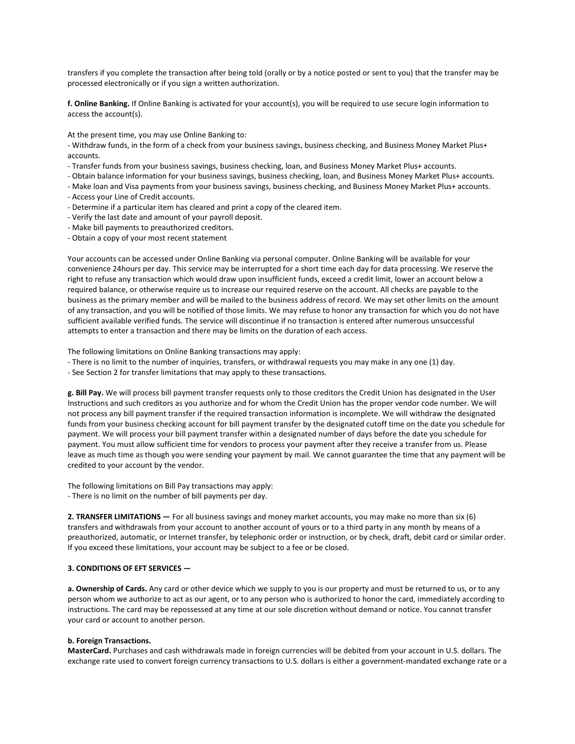transfers if you complete the transaction after being told (orally or by a notice posted or sent to you) that the transfer may be processed electronically or if you sign a written authorization.

**f. Online Banking.** If Online Banking is activated for your account(s), you will be required to use secure login information to access the account(s).

At the present time, you may use Online Banking to:

- Withdraw funds, in the form of a check from your business savings, business checking, and Business Money Market Plus+ accounts.

- Transfer funds from your business savings, business checking, loan, and Business Money Market Plus+ accounts.
- Obtain balance information for your business savings, business checking, loan, and Business Money Market Plus+ accounts.
- Make loan and Visa payments from your business savings, business checking, and Business Money Market Plus+ accounts.
- Access your Line of Credit accounts.
- Determine if a particular item has cleared and print a copy of the cleared item.
- Verify the last date and amount of your payroll deposit.
- Make bill payments to preauthorized creditors.
- Obtain a copy of your most recent statement

Your accounts can be accessed under Online Banking via personal computer. Online Banking will be available for your convenience 24hours per day. This service may be interrupted for a short time each day for data processing. We reserve the right to refuse any transaction which would draw upon insufficient funds, exceed a credit limit, lower an account below a required balance, or otherwise require us to increase our required reserve on the account. All checks are payable to the business as the primary member and will be mailed to the business address of record. We may set other limits on the amount of any transaction, and you will be notified of those limits. We may refuse to honor any transaction for which you do not have sufficient available verified funds. The service will discontinue if no transaction is entered after numerous unsuccessful attempts to enter a transaction and there may be limits on the duration of each access.

The following limitations on Online Banking transactions may apply:

- There is no limit to the number of inquiries, transfers, or withdrawal requests you may make in any one (1) day.
- See Section 2 for transfer limitations that may apply to these transactions.

**g. Bill Pay.** We will process bill payment transfer requests only to those creditors the Credit Union has designated in the User Instructions and such creditors as you authorize and for whom the Credit Union has the proper vendor code number. We will not process any bill payment transfer if the required transaction information is incomplete. We will withdraw the designated funds from your business checking account for bill payment transfer by the designated cutoff time on the date you schedule for payment. We will process your bill payment transfer within a designated number of days before the date you schedule for payment. You must allow sufficient time for vendors to process your payment after they receive a transfer from us. Please leave as much time as though you were sending your payment by mail. We cannot guarantee the time that any payment will be credited to your account by the vendor.

The following limitations on Bill Pay transactions may apply: - There is no limit on the number of bill payments per day.

**2. TRANSFER LIMITATIONS —** For all business savings and money market accounts, you may make no more than six (6) transfers and withdrawals from your account to another account of yours or to a third party in any month by means of a preauthorized, automatic, or Internet transfer, by telephonic order or instruction, or by check, draft, debit card or similar order. If you exceed these limitations, your account may be subject to a fee or be closed.

#### **3. CONDITIONS OF EFT SERVICES —**

**a. Ownership of Cards.** Any card or other device which we supply to you is our property and must be returned to us, or to any person whom we authorize to act as our agent, or to any person who is authorized to honor the card, immediately according to instructions. The card may be repossessed at any time at our sole discretion without demand or notice. You cannot transfer your card or account to another person.

#### **b. Foreign Transactions.**

**MasterCard.** Purchases and cash withdrawals made in foreign currencies will be debited from your account in U.S. dollars. The exchange rate used to convert foreign currency transactions to U.S. dollars is either a government-mandated exchange rate or a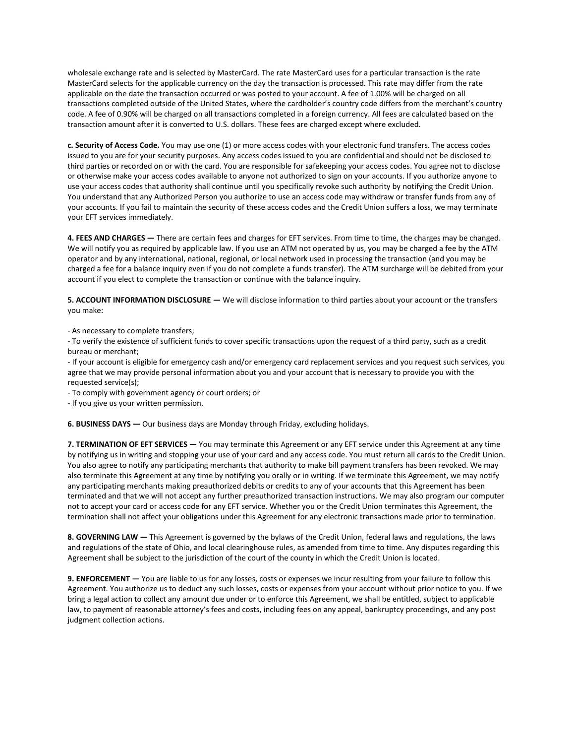wholesale exchange rate and is selected by MasterCard. The rate MasterCard uses for a particular transaction is the rate MasterCard selects for the applicable currency on the day the transaction is processed. This rate may differ from the rate applicable on the date the transaction occurred or was posted to your account. A fee of 1.00% will be charged on all transactions completed outside of the United States, where the cardholder's country code differs from the merchant's country code. A fee of 0.90% will be charged on all transactions completed in a foreign currency. All fees are calculated based on the transaction amount after it is converted to U.S. dollars. These fees are charged except where excluded.

**c. Security of Access Code.** You may use one (1) or more access codes with your electronic fund transfers. The access codes issued to you are for your security purposes. Any access codes issued to you are confidential and should not be disclosed to third parties or recorded on or with the card. You are responsible for safekeeping your access codes. You agree not to disclose or otherwise make your access codes available to anyone not authorized to sign on your accounts. If you authorize anyone to use your access codes that authority shall continue until you specifically revoke such authority by notifying the Credit Union. You understand that any Authorized Person you authorize to use an access code may withdraw or transfer funds from any of your accounts. If you fail to maintain the security of these access codes and the Credit Union suffers a loss, we may terminate your EFT services immediately.

**4. FEES AND CHARGES —** There are certain fees and charges for EFT services. From time to time, the charges may be changed. We will notify you as required by applicable law. If you use an ATM not operated by us, you may be charged a fee by the ATM operator and by any international, national, regional, or local network used in processing the transaction (and you may be charged a fee for a balance inquiry even if you do not complete a funds transfer). The ATM surcharge will be debited from your account if you elect to complete the transaction or continue with the balance inquiry.

**5. ACCOUNT INFORMATION DISCLOSURE —** We will disclose information to third parties about your account or the transfers you make:

- As necessary to complete transfers;

- To verify the existence of sufficient funds to cover specific transactions upon the request of a third party, such as a credit bureau or merchant;

- If your account is eligible for emergency cash and/or emergency card replacement services and you request such services, you agree that we may provide personal information about you and your account that is necessary to provide you with the requested service(s);

- To comply with government agency or court orders; or

- If you give us your written permission.

**6. BUSINESS DAYS —** Our business days are Monday through Friday, excluding holidays.

**7. TERMINATION OF EFT SERVICES —** You may terminate this Agreement or any EFT service under this Agreement at any time by notifying us in writing and stopping your use of your card and any access code. You must return all cards to the Credit Union. You also agree to notify any participating merchants that authority to make bill payment transfers has been revoked. We may also terminate this Agreement at any time by notifying you orally or in writing. If we terminate this Agreement, we may notify any participating merchants making preauthorized debits or credits to any of your accounts that this Agreement has been terminated and that we will not accept any further preauthorized transaction instructions. We may also program our computer not to accept your card or access code for any EFT service. Whether you or the Credit Union terminates this Agreement, the termination shall not affect your obligations under this Agreement for any electronic transactions made prior to termination.

**8. GOVERNING LAW —** This Agreement is governed by the bylaws of the Credit Union, federal laws and regulations, the laws and regulations of the state of Ohio, and local clearinghouse rules, as amended from time to time. Any disputes regarding this Agreement shall be subject to the jurisdiction of the court of the county in which the Credit Union is located.

**9. ENFORCEMENT —** You are liable to us for any losses, costs or expenses we incur resulting from your failure to follow this Agreement. You authorize us to deduct any such losses, costs or expenses from your account without prior notice to you. If we bring a legal action to collect any amount due under or to enforce this Agreement, we shall be entitled, subject to applicable law, to payment of reasonable attorney's fees and costs, including fees on any appeal, bankruptcy proceedings, and any post judgment collection actions.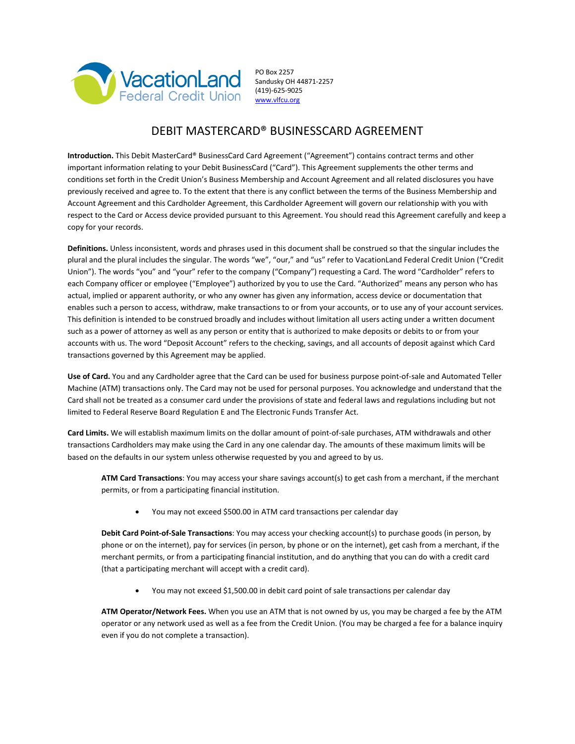

 Sandusky OH 44871-2257 (419)-625-9025 [www.vlfcu.org](http://www.vlfcu.org/)

## DEBIT MASTERCARD® BUSINESSCARD AGREEMENT

**Introduction.** This Debit MasterCard® BusinessCard Card Agreement ("Agreement") contains contract terms and other important information relating to your Debit BusinessCard ("Card"). This Agreement supplements the other terms and conditions set forth in the Credit Union's Business Membership and Account Agreement and all related disclosures you have previously received and agree to. To the extent that there is any conflict between the terms of the Business Membership and Account Agreement and this Cardholder Agreement, this Cardholder Agreement will govern our relationship with you with respect to the Card or Access device provided pursuant to this Agreement. You should read this Agreement carefully and keep a copy for your records.

**Definitions.** Unless inconsistent, words and phrases used in this document shall be construed so that the singular includes the plural and the plural includes the singular. The words "we", "our," and "us" refer to VacationLand Federal Credit Union ("Credit Union"). The words "you" and "your" refer to the company ("Company") requesting a Card. The word "Cardholder" refers to each Company officer or employee ("Employee") authorized by you to use the Card. "Authorized" means any person who has actual, implied or apparent authority, or who any owner has given any information, access device or documentation that enables such a person to access, withdraw, make transactions to or from your accounts, or to use any of your account services. This definition is intended to be construed broadly and includes without limitation all users acting under a written document such as a power of attorney as well as any person or entity that is authorized to make deposits or debits to or from your accounts with us. The word "Deposit Account" refers to the checking, savings, and all accounts of deposit against which Card transactions governed by this Agreement may be applied.

**Use of Card.** You and any Cardholder agree that the Card can be used for business purpose point-of-sale and Automated Teller Machine (ATM) transactions only. The Card may not be used for personal purposes. You acknowledge and understand that the Card shall not be treated as a consumer card under the provisions of state and federal laws and regulations including but not limited to Federal Reserve Board Regulation E and The Electronic Funds Transfer Act.

**Card Limits.** We will establish maximum limits on the dollar amount of point-of-sale purchases, ATM withdrawals and other transactions Cardholders may make using the Card in any one calendar day. The amounts of these maximum limits will be based on the defaults in our system unless otherwise requested by you and agreed to by us.

**ATM Card Transactions**: You may access your share savings account(s) to get cash from a merchant, if the merchant permits, or from a participating financial institution.

• You may not exceed \$500.00 in ATM card transactions per calendar day

**Debit Card Point-of-Sale Transactions**: You may access your checking account(s) to purchase goods (in person, by phone or on the internet), pay for services (in person, by phone or on the internet), get cash from a merchant, if the merchant permits, or from a participating financial institution, and do anything that you can do with a credit card (that a participating merchant will accept with a credit card).

• You may not exceed \$1,500.00 in debit card point of sale transactions per calendar day

**ATM Operator/Network Fees.** When you use an ATM that is not owned by us, you may be charged a fee by the ATM operator or any network used as well as a fee from the Credit Union. (You may be charged a fee for a balance inquiry even if you do not complete a transaction).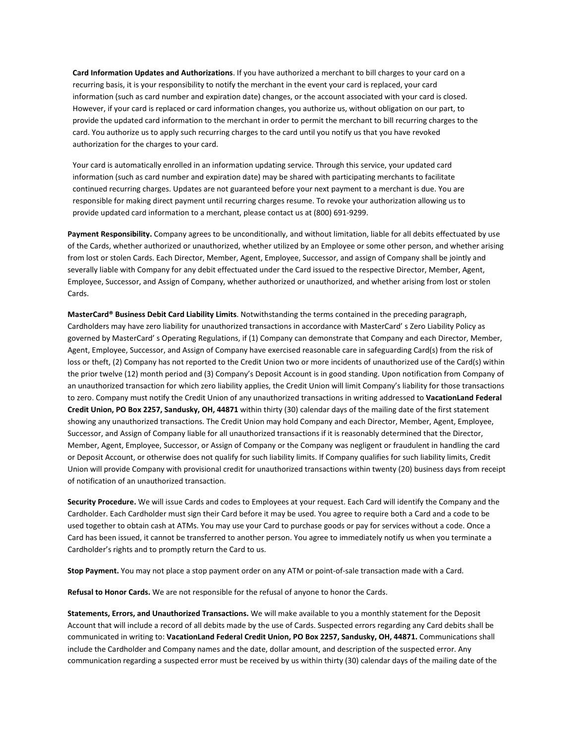**Card Information Updates and Authorizations**. If you have authorized a merchant to bill charges to your card on a recurring basis, it is your responsibility to notify the merchant in the event your card is replaced, your card information (such as card number and expiration date) changes, or the account associated with your card is closed. However, if your card is replaced or card information changes, you authorize us, without obligation on our part, to provide the updated card information to the merchant in order to permit the merchant to bill recurring charges to the card. You authorize us to apply such recurring charges to the card until you notify us that you have revoked authorization for the charges to your card.

Your card is automatically enrolled in an information updating service. Through this service, your updated card information (such as card number and expiration date) may be shared with participating merchants to facilitate continued recurring charges. Updates are not guaranteed before your next payment to a merchant is due. You are responsible for making direct payment until recurring charges resume. To revoke your authorization allowing us to provide updated card information to a merchant, please contact us at (800) 691-9299.

**Payment Responsibility.** Company agrees to be unconditionally, and without limitation, liable for all debits effectuated by use of the Cards, whether authorized or unauthorized, whether utilized by an Employee or some other person, and whether arising from lost or stolen Cards. Each Director, Member, Agent, Employee, Successor, and assign of Company shall be jointly and severally liable with Company for any debit effectuated under the Card issued to the respective Director, Member, Agent, Employee, Successor, and Assign of Company, whether authorized or unauthorized, and whether arising from lost or stolen Cards.

**MasterCard® Business Debit Card Liability Limits**. Notwithstanding the terms contained in the preceding paragraph, Cardholders may have zero liability for unauthorized transactions in accordance with MasterCard' s Zero Liability Policy as governed by MasterCard' s Operating Regulations, if (1) Company can demonstrate that Company and each Director, Member, Agent, Employee, Successor, and Assign of Company have exercised reasonable care in safeguarding Card(s) from the risk of loss or theft, (2) Company has not reported to the Credit Union two or more incidents of unauthorized use of the Card(s) within the prior twelve (12) month period and (3) Company's Deposit Account is in good standing. Upon notification from Company of an unauthorized transaction for which zero liability applies, the Credit Union will limit Company's liability for those transactions to zero. Company must notify the Credit Union of any unauthorized transactions in writing addressed to **VacationLand Federal Credit Union, PO Box 2257, Sandusky, OH, 44871** within thirty (30) calendar days of the mailing date of the first statement showing any unauthorized transactions. The Credit Union may hold Company and each Director, Member, Agent, Employee, Successor, and Assign of Company liable for all unauthorized transactions if it is reasonably determined that the Director, Member, Agent, Employee, Successor, or Assign of Company or the Company was negligent or fraudulent in handling the card or Deposit Account, or otherwise does not qualify for such liability limits. If Company qualifies for such liability limits, Credit Union will provide Company with provisional credit for unauthorized transactions within twenty (20) business days from receipt of notification of an unauthorized transaction.

**Security Procedure.** We will issue Cards and codes to Employees at your request. Each Card will identify the Company and the Cardholder. Each Cardholder must sign their Card before it may be used. You agree to require both a Card and a code to be used together to obtain cash at ATMs. You may use your Card to purchase goods or pay for services without a code. Once a Card has been issued, it cannot be transferred to another person. You agree to immediately notify us when you terminate a Cardholder's rights and to promptly return the Card to us.

**Stop Payment.** You may not place a stop payment order on any ATM or point-of-sale transaction made with a Card.

**Refusal to Honor Cards.** We are not responsible for the refusal of anyone to honor the Cards.

**Statements, Errors, and Unauthorized Transactions.** We will make available to you a monthly statement for the Deposit Account that will include a record of all debits made by the use of Cards. Suspected errors regarding any Card debits shall be communicated in writing to: **VacationLand Federal Credit Union, PO Box 2257, Sandusky, OH, 44871.** Communications shall include the Cardholder and Company names and the date, dollar amount, and description of the suspected error. Any communication regarding a suspected error must be received by us within thirty (30) calendar days of the mailing date of the